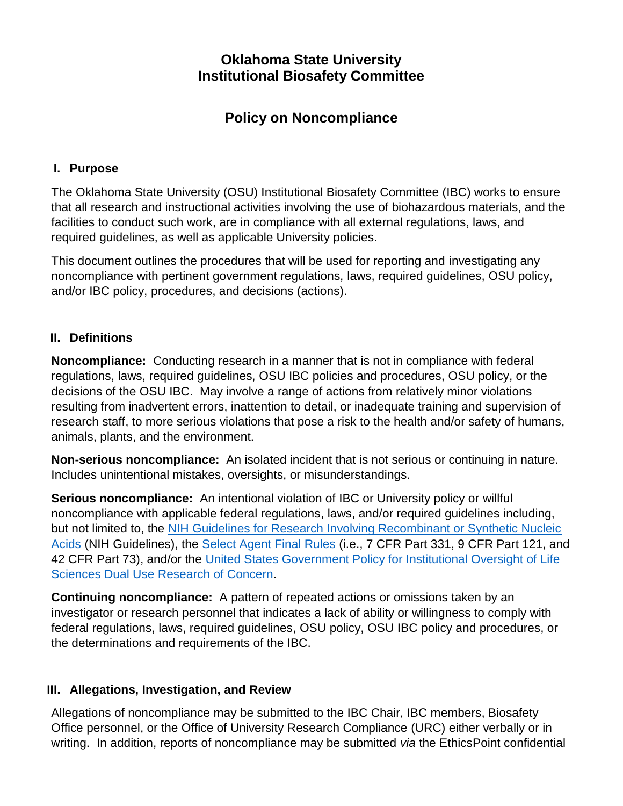## **Oklahoma State University Institutional Biosafety Committee**

# **Policy on Noncompliance**

#### **I. Purpose**

The Oklahoma State University (OSU) Institutional Biosafety Committee (IBC) works to ensure that all research and instructional activities involving the use of biohazardous materials, and the facilities to conduct such work, are in compliance with all external regulations, laws, and required guidelines, as well as applicable University policies.

This document outlines the procedures that will be used for reporting and investigating any noncompliance with pertinent government regulations, laws, required guidelines, OSU policy, and/or IBC policy, procedures, and decisions (actions).

#### **II. Definitions**

**Noncompliance:** Conducting research in a manner that is not in compliance with federal regulations, laws, required guidelines, OSU IBC policies and procedures, OSU policy, or the decisions of the OSU IBC. May involve a range of actions from relatively minor violations resulting from inadvertent errors, inattention to detail, or inadequate training and supervision of research staff, to more serious violations that pose a risk to the health and/or safety of humans, animals, plants, and the environment.

**Non-serious noncompliance:** An isolated incident that is not serious or continuing in nature. Includes unintentional mistakes, oversights, or misunderstandings.

**Serious noncompliance:** An intentional violation of IBC or University policy or willful noncompliance with applicable federal regulations, laws, and/or required guidelines including, but not limited to, the [NIH Guidelines for Research Involving Recombinant or Synthetic Nucleic](http://osp.od.nih.gov/office-biotechnology-activities/biosafety/nih-guidelines)  [Acids](http://osp.od.nih.gov/office-biotechnology-activities/biosafety/nih-guidelines) (NIH Guidelines), the [Select Agent Final Rules](http://www.selectagents.gov/regulations.html) (i.e., 7 CFR Part 331, 9 CFR Part 121, and 42 CFR Part 73), and/or the [United States Government Policy for Institutional Oversight of Life](http://www.phe.gov/s3/dualuse/Documents/durc-policy.pdf)  [Sciences Dual Use Research of Concern.](http://www.phe.gov/s3/dualuse/Documents/durc-policy.pdf)

**Continuing noncompliance:** A pattern of repeated actions or omissions taken by an investigator or research personnel that indicates a lack of ability or willingness to comply with federal regulations, laws, required guidelines, OSU policy, OSU IBC policy and procedures, or the determinations and requirements of the IBC.

#### **III. Allegations, Investigation, and Review**

Allegations of noncompliance may be submitted to the IBC Chair, IBC members, Biosafety Office personnel, or the Office of University Research Compliance (URC) either verbally or in writing. In addition, reports of noncompliance may be submitted *via* the EthicsPoint confidential